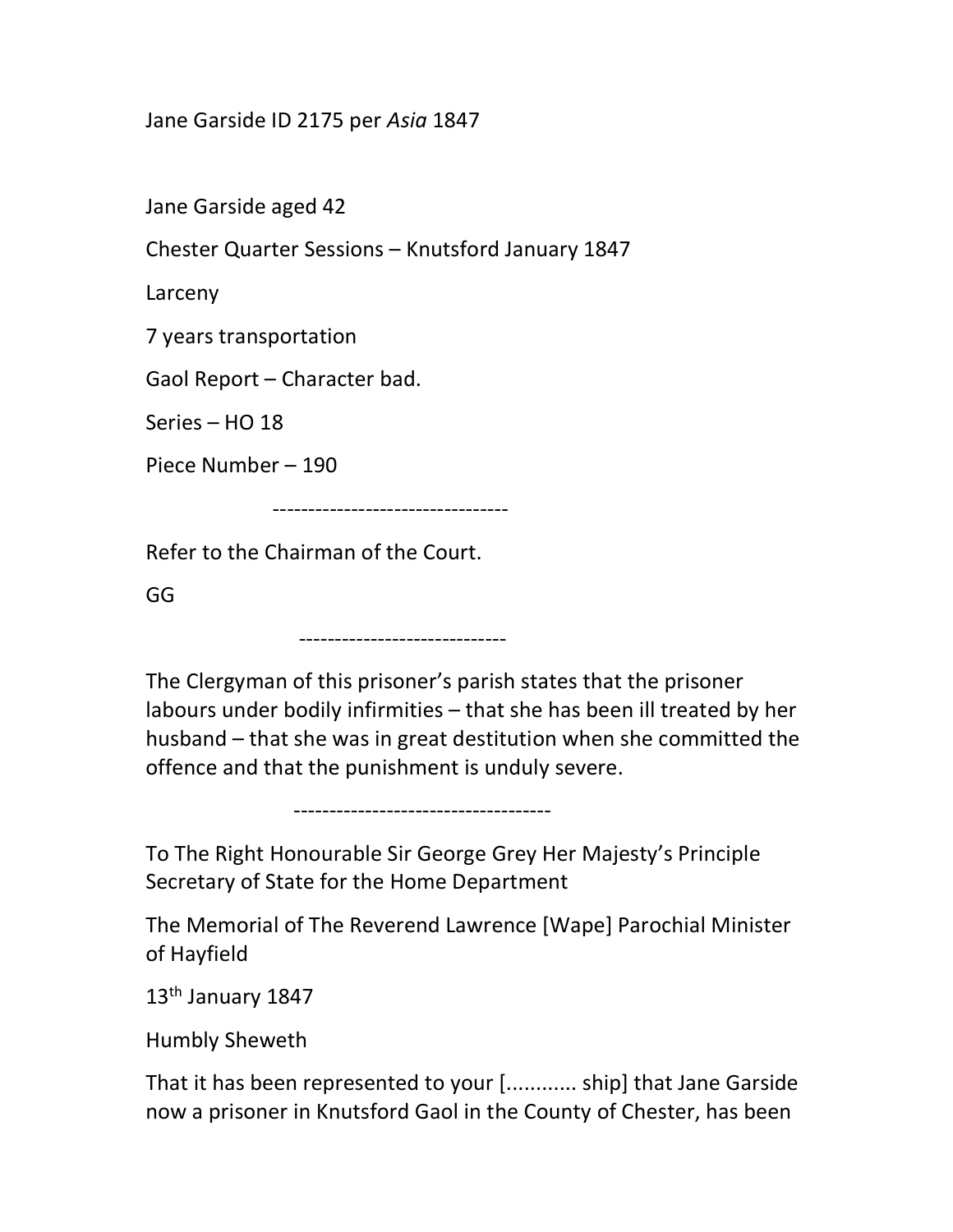## Jane Garside ID 2175 per Asia 1847

Jane Garside aged 42

Chester Quarter Sessions – Knutsford January 1847

Larceny

7 years transportation

Gaol Report – Character bad.

Series – HO 18

Piece Number – 190

---------------------------------

Refer to the Chairman of the Court.

GG

-----------------------------

------------------------------------

The Clergyman of this prisoner's parish states that the prisoner labours under bodily infirmities – that she has been ill treated by her husband – that she was in great destitution when she committed the offence and that the punishment is unduly severe.

To The Right Honourable Sir George Grey Her Majesty's Principle Secretary of State for the Home Department

The Memorial of The Reverend Lawrence [Wape] Parochial Minister of Hayfield

13<sup>th</sup> January 1847

Humbly Sheweth

That it has been represented to your [............ ship] that Jane Garside now a prisoner in Knutsford Gaol in the County of Chester, has been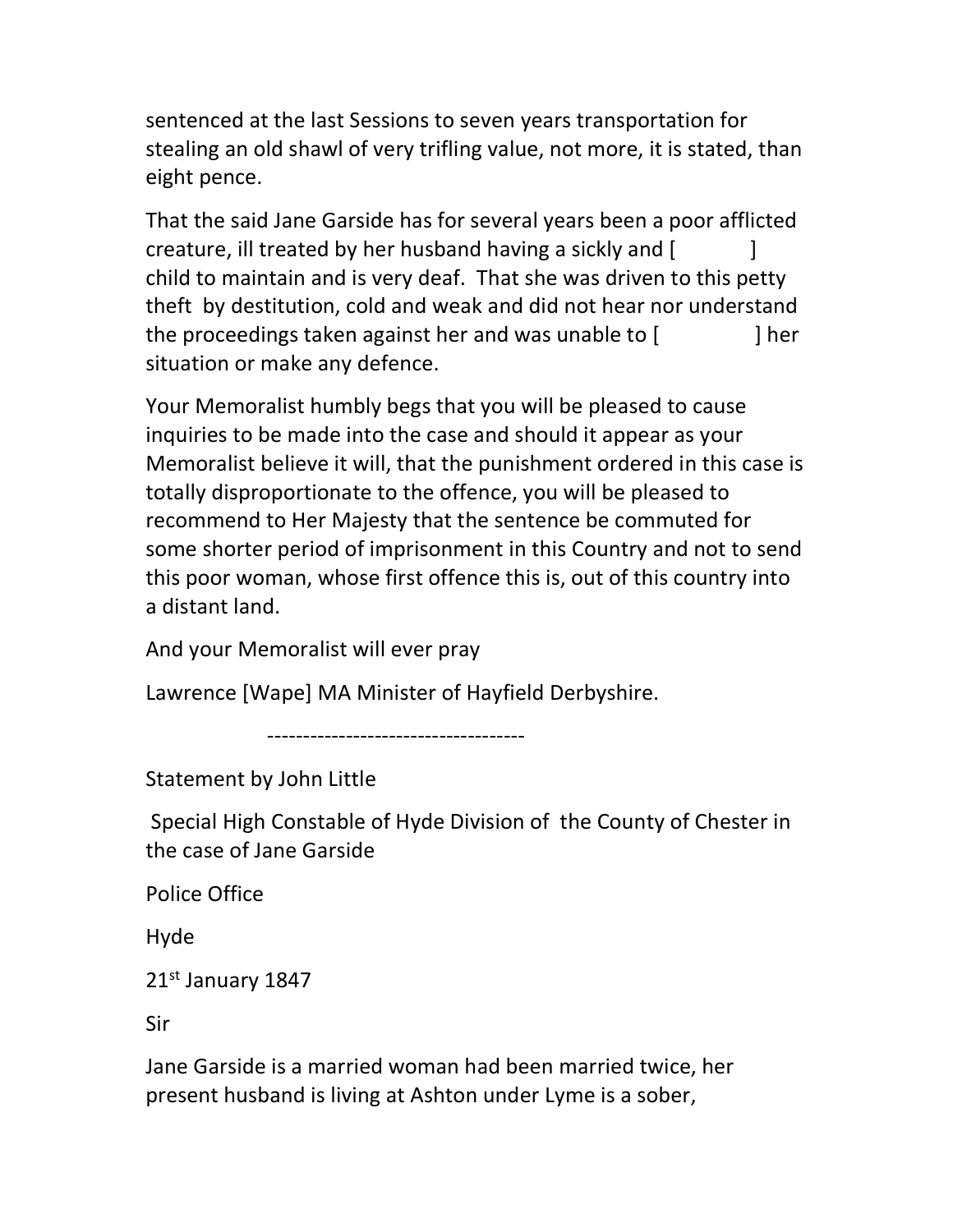sentenced at the last Sessions to seven years transportation for stealing an old shawl of very trifling value, not more, it is stated, than eight pence.

That the said Jane Garside has for several years been a poor afflicted creature, ill treated by her husband having a sickly and [ ] child to maintain and is very deaf. That she was driven to this petty theft by destitution, cold and weak and did not hear nor understand the proceedings taken against her and was unable to [ ] her situation or make any defence.

Your Memoralist humbly begs that you will be pleased to cause inquiries to be made into the case and should it appear as your Memoralist believe it will, that the punishment ordered in this case is totally disproportionate to the offence, you will be pleased to recommend to Her Majesty that the sentence be commuted for some shorter period of imprisonment in this Country and not to send this poor woman, whose first offence this is, out of this country into a distant land.

And your Memoralist will ever pray

Lawrence [Wape] MA Minister of Hayfield Derbyshire.

------------------------------------

Statement by John Little

 Special High Constable of Hyde Division of the County of Chester in the case of Jane Garside

Police Office

Hyde

21st January 1847

Sir

Jane Garside is a married woman had been married twice, her present husband is living at Ashton under Lyme is a sober,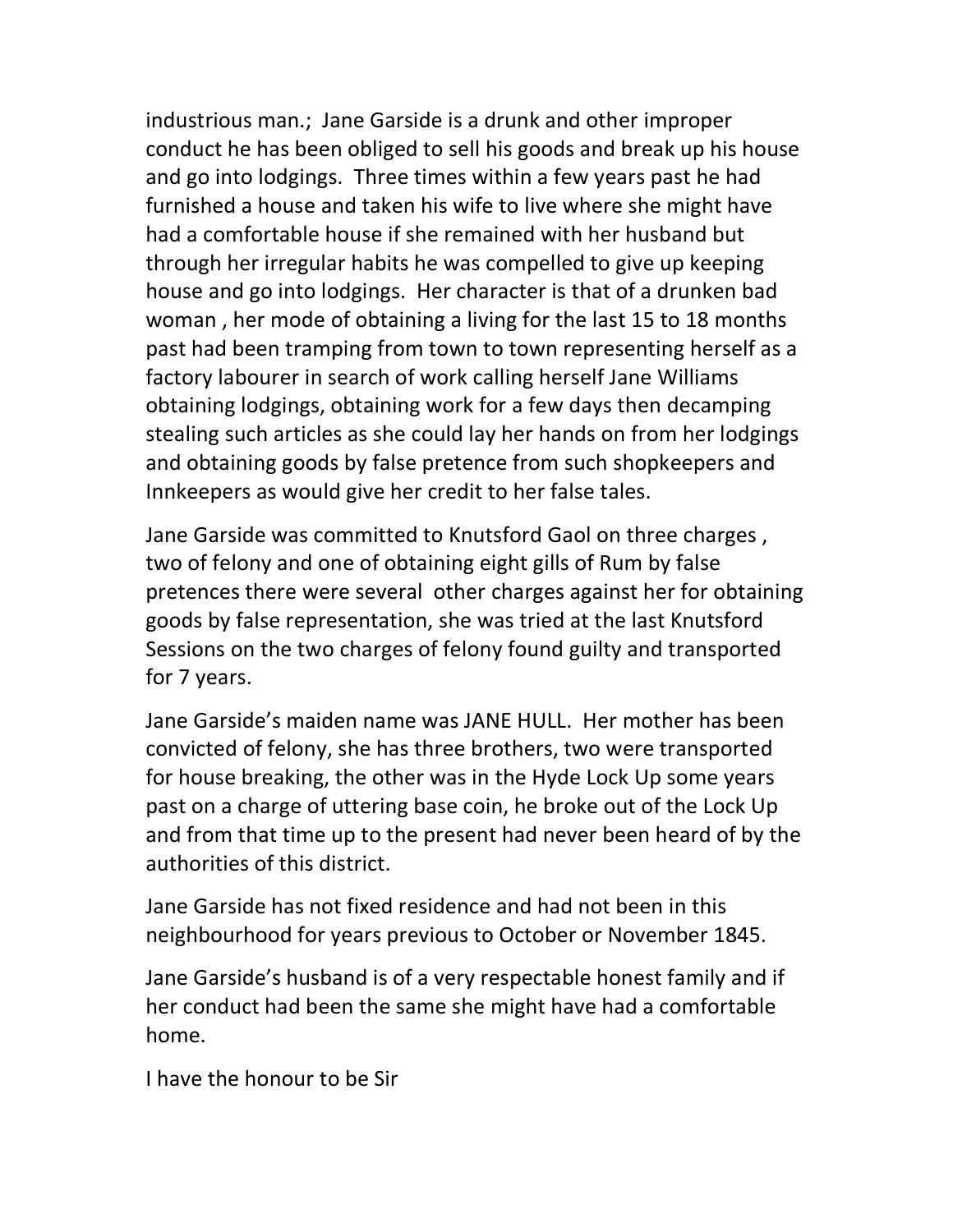industrious man.; Jane Garside is a drunk and other improper conduct he has been obliged to sell his goods and break up his house and go into lodgings. Three times within a few years past he had furnished a house and taken his wife to live where she might have had a comfortable house if she remained with her husband but through her irregular habits he was compelled to give up keeping house and go into lodgings. Her character is that of a drunken bad woman , her mode of obtaining a living for the last 15 to 18 months past had been tramping from town to town representing herself as a factory labourer in search of work calling herself Jane Williams obtaining lodgings, obtaining work for a few days then decamping stealing such articles as she could lay her hands on from her lodgings and obtaining goods by false pretence from such shopkeepers and Innkeepers as would give her credit to her false tales.

Jane Garside was committed to Knutsford Gaol on three charges , two of felony and one of obtaining eight gills of Rum by false pretences there were several other charges against her for obtaining goods by false representation, she was tried at the last Knutsford Sessions on the two charges of felony found guilty and transported for 7 years.

Jane Garside's maiden name was JANE HULL. Her mother has been convicted of felony, she has three brothers, two were transported for house breaking, the other was in the Hyde Lock Up some years past on a charge of uttering base coin, he broke out of the Lock Up and from that time up to the present had never been heard of by the authorities of this district.

Jane Garside has not fixed residence and had not been in this neighbourhood for years previous to October or November 1845.

Jane Garside's husband is of a very respectable honest family and if her conduct had been the same she might have had a comfortable home.

I have the honour to be Sir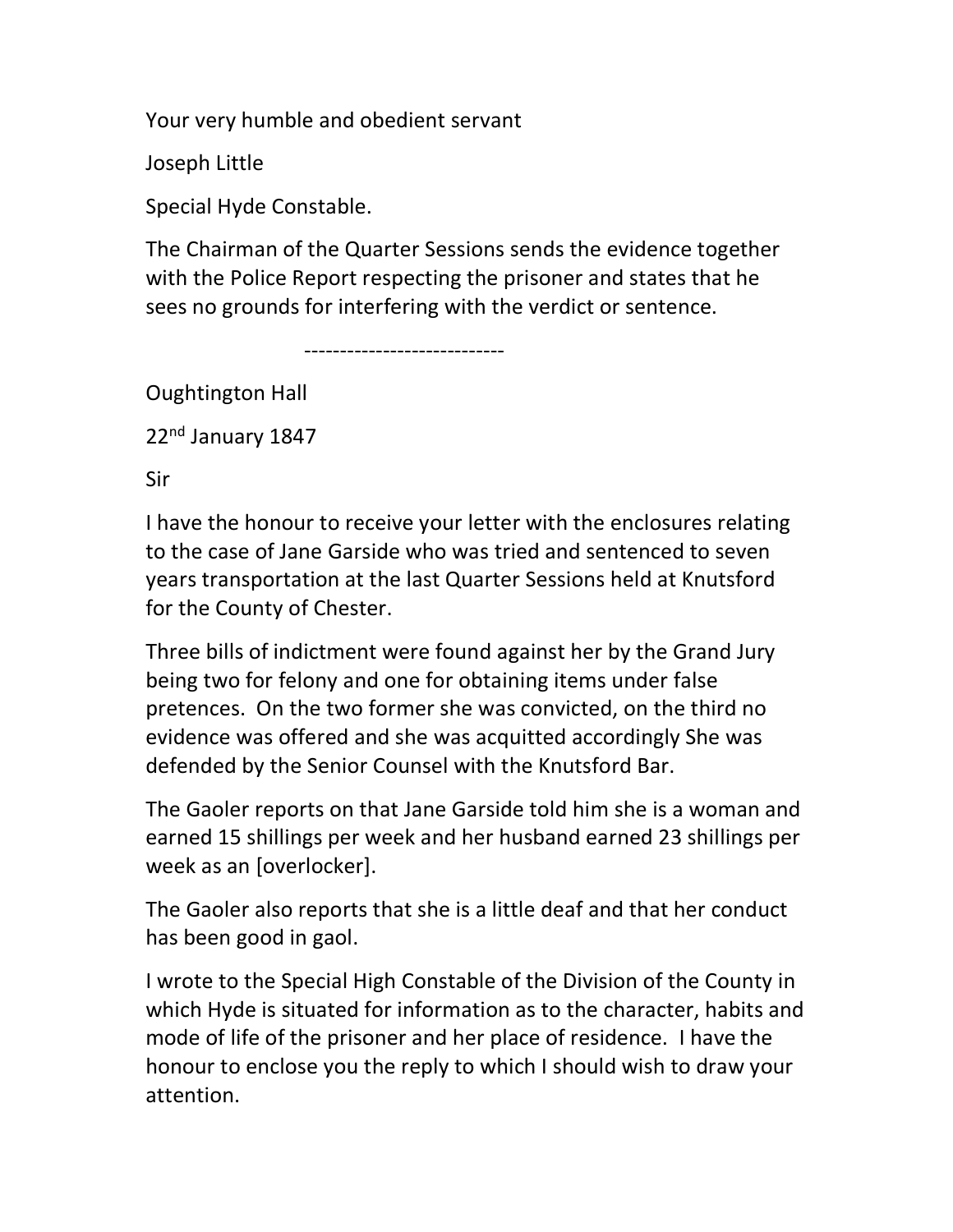Your very humble and obedient servant

Joseph Little

Special Hyde Constable.

The Chairman of the Quarter Sessions sends the evidence together with the Police Report respecting the prisoner and states that he sees no grounds for interfering with the verdict or sentence.

----------------------------

Oughtington Hall

22<sup>nd</sup> January 1847

Sir

I have the honour to receive your letter with the enclosures relating to the case of Jane Garside who was tried and sentenced to seven years transportation at the last Quarter Sessions held at Knutsford for the County of Chester.

Three bills of indictment were found against her by the Grand Jury being two for felony and one for obtaining items under false pretences. On the two former she was convicted, on the third no evidence was offered and she was acquitted accordingly She was defended by the Senior Counsel with the Knutsford Bar.

The Gaoler reports on that Jane Garside told him she is a woman and earned 15 shillings per week and her husband earned 23 shillings per week as an [overlocker].

The Gaoler also reports that she is a little deaf and that her conduct has been good in gaol.

I wrote to the Special High Constable of the Division of the County in which Hyde is situated for information as to the character, habits and mode of life of the prisoner and her place of residence. I have the honour to enclose you the reply to which I should wish to draw your attention.